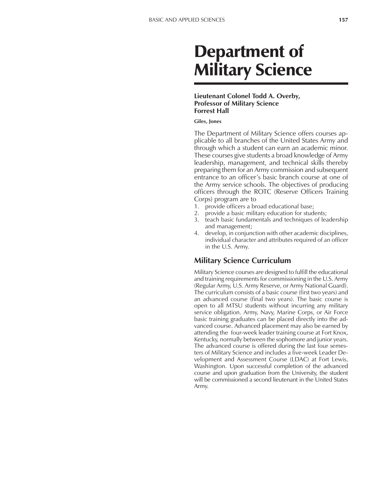# Department of Military Science

#### **Lieutenant Colonel Todd A. Overby, Professor of Military Science Forrest Hall**

#### **Giles, Jones**

The Department of Military Science offers courses applicable to all branches of the United States Army and through which a student can earn an academic minor. These courses give students a broad knowledge of Army leadership, management, and technical skills thereby preparing them for an Army commission and subsequent entrance to an officer's basic branch course at one of the Army service schools. The objectives of producing officers through the ROTC (Reserve Officers Training Corps) program are to

- 1. provide officers a broad educational base;
- 2. provide a basic military education for students;
- 3. teach basic fundamentals and techniques of leadership and management;
- 4. develop, in conjunction with other academic disciplines, individual character and attributes required of an officer in the U.S. Army.

## **Military Science Curriculum**

Military Science courses are designed to fulfill the educational and training requirements for commissioning in the U.S. Army (Regular Army, U.S. Army Reserve, or Army National Guard). The curriculum consists of a basic course (first two years) and an advanced course (final two years). The basic course is open to all MTSU students without incurring any military service obligation. Army, Navy, Marine Corps, or Air Force basic training graduates can be placed directly into the advanced course. Advanced placement may also be earned by attending the four-week leader training course at Fort Knox, Kentucky, normally between the sophomore and junior years. The advanced course is offered during the last four semesters of Military Science and includes a five-week Leader Development and Assessment Course (LDAC) at Fort Lewis, Washington. Upon successful completion of the advanced course and upon graduation from the University, the student will be commissioned a second lieutenant in the United States Army.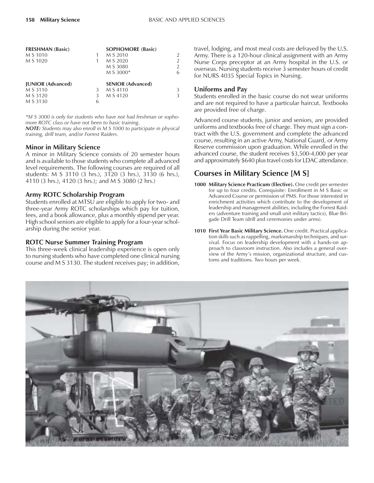| <b>FRESHMAN (Basic)</b>  |   | <b>SOPHOMORE (Basic)</b> |                |
|--------------------------|---|--------------------------|----------------|
| M S 1010                 |   | M S 2010                 | $\overline{2}$ |
| M S 1020                 |   | M S 2020                 | $\overline{2}$ |
|                          |   | M S 3080                 | $\overline{2}$ |
|                          |   | M S 3000*                | 6              |
| <b>JUNIOR</b> (Advanced) |   | <b>SENIOR (Advanced)</b> |                |
| M S 3110                 | 3 | M S 4110                 | 3              |
| M S 3120                 |   | M S 4120                 | 3              |
| M S 3130                 | h |                          |                |
|                          |   |                          |                |

*\*M S 3000 is only for students who have not had freshman or sophomore ROTC class or have not been to basic training*.

*NOTE: Students may also enroll in M S 1000 to participate in physical training, drill team, and/or Forrest Raiders.*

#### **Minor in Military Science**

A minor in Military Science consists of 20 semester hours and is available to those students who complete all advanced level requirements. The following courses are required of all students: M S 3110 (3 hrs.), 3120 (3 hrs.), 3130 (6 hrs.), 4110 (3 hrs.), 4120 (3 hrs.); and M S 3080 (2 hrs.)

## **Army ROTC Scholarship Program**

Students enrolled at MTSU are eligible to apply for two- and three-year Army ROTC scholarships which pay for tuition, fees, and a book allowance, plus a monthly stipend per year. High school seniors are eligible to apply for a four-year scholarship during the senior year.

#### **ROTC Nurse Summer Training Program**

This three-week clinical leadership experience is open only to nursing students who have completed one clinical nursing course and M S 3130. The student receives pay; in addition,

travel, lodging, and most meal costs are defrayed by the U.S. Army. There is a 120-hour clinical assignment with an Army Nurse Corps preceptor at an Army hospital in the U.S. or overseas. Nursing students receive 3 semester hours of credit for NURS 4035 Special Topics in Nursing.

### **Uniforms and Pay**

Students enrolled in the basic course do not wear uniforms and are not required to have a particular haircut. Textbooks are provided free of charge.

Advanced course students, junior and seniors, are provided uniforms and textbooks free of charge. They must sign a contract with the U.S. government and complete the advanced course, resulting in an active Army, National Guard, or Army Reserve commission upon graduation. While enrolled in the advanced course, the student receives \$3,500-4,000 per year and approximately \$640 plus travel costs for LDAC attendance.

# **Courses in Military Science [M S]**

- **1000 Military Science Practicum (Elective).** One credit per semester for up to four credits. Corequisite: Enrollment in M S Basic or Advanced Course or permission of PMS. For those interested in enrichment activities which contribute to the development of leadership and management abilities, including the Forrest Raiders (adventure training and small unit military tactics), Blue Brigade Drill Team (drill and ceremonies under arms).
- **1010 First Year Basic Military Science.** One credit. Practical application skills such as rappelling, marksmanship techniques, and survival. Focus on leadership development with a hands-on approach to classroom instruction. Also includes a general overview of the Army's mission, organizational structure, and customs and traditions. Two hours per week.